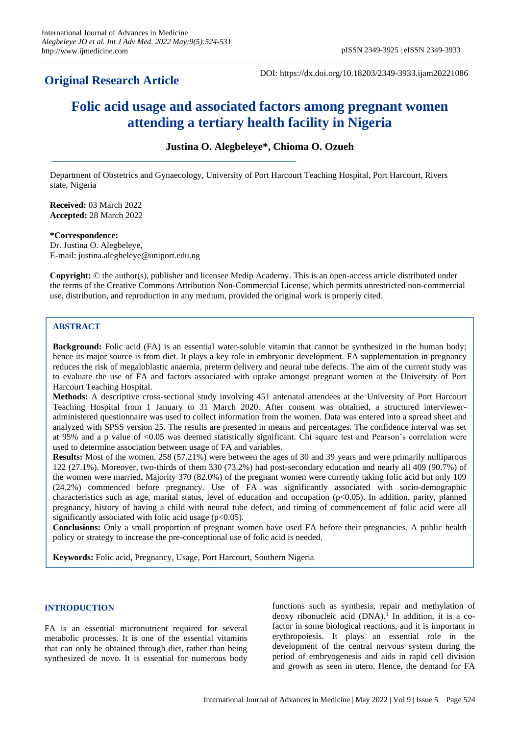# **Original Research Article**

DOI: https://dx.doi.org/10.18203/2349-3933.ijam20221086

# **Folic acid usage and associated factors among pregnant women attending a tertiary health facility in Nigeria**

**Justina O. Alegbeleye\*, Chioma O. Ozueh**

Department of Obstetrics and Gynaecology, University of Port Harcourt Teaching Hospital, Port Harcourt, Rivers state, Nigeria

**Received:** 03 March 2022 **Accepted:** 28 March 2022

#### **\*Correspondence:**

Dr. Justina O. Alegbeleye, E-mail: justina.alegbeleye@uniport.edu.ng

**Copyright:** © the author(s), publisher and licensee Medip Academy. This is an open-access article distributed under the terms of the Creative Commons Attribution Non-Commercial License, which permits unrestricted non-commercial use, distribution, and reproduction in any medium, provided the original work is properly cited.

# **ABSTRACT**

**Background:** Folic acid (FA) is an essential water-soluble vitamin that cannot be synthesized in the human body; hence its major source is from diet. It plays a key role in embryonic development. FA supplementation in pregnancy reduces the risk of megaloblastic anaemia, preterm delivery and neural tube defects. The aim of the current study was to evaluate the use of FA and factors associated with uptake amongst pregnant women at the University of Port Harcourt Teaching Hospital.

**Methods:** A descriptive cross-sectional study involving 451 antenatal attendees at the University of Port Harcourt Teaching Hospital from 1 January to 31 March 2020. After consent was obtained, a structured intervieweradministered questionnaire was used to collect information from the women. Data was entered into a spread sheet and analyzed with SPSS version 25. The results are presented in means and percentages. The confidence interval was set at 95% and a p value of <0.05 was deemed statistically significant. Chi square test and Pearson's correlation were used to determine association between usage of FA and variables.

**Results:** Most of the women, 258 (57.21%) were between the ages of 30 and 39 years and were primarily nulliparous 122 (27.1%). Moreover, two-thirds of them 330 (73.2%) had post-secondary education and nearly all 409 (90.7%) of the women were married**.** Majority 370 (82.0%) of the pregnant women were currently taking folic acid but only 109 (24.2%) commenced before pregnancy. Use of FA was significantly associated with socio-demographic characteristics such as age, marital status, level of education and occupation ( $p<0.05$ ). In addition, parity, planned pregnancy, history of having a child with neural tube defect, and timing of commencement of folic acid were all significantly associated with folic acid usage  $(p<0.05)$ .

**Conclusions:** Only a small proportion of pregnant women have used FA before their pregnancies. A public health policy or strategy to increase the pre-conceptional use of folic acid is needed.

**Keywords:** Folic acid, Pregnancy, Usage, Port Harcourt, Southern Nigeria

# **INTRODUCTION**

FA is an essential micronutrient required for several metabolic processes. It is one of the essential vitamins that can only be obtained through diet, rather than being synthesized de novo. It is essential for numerous body functions such as synthesis, repair and methylation of deoxy ribonucleic acid  $(DNA)$ .<sup>1</sup> In addition, it is a cofactor in some biological reactions, and it is important in erythropoiesis. It plays an essential role in the development of the central nervous system during the period of embryogenesis and aids in rapid cell division and growth as seen in utero. Hence, the demand for FA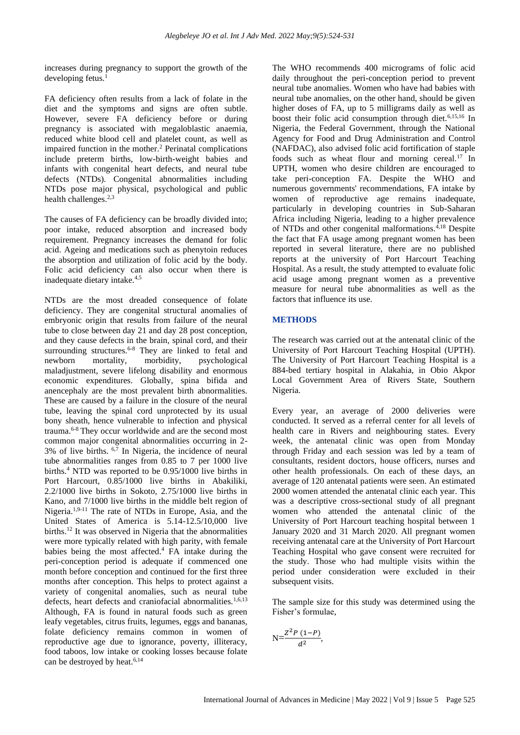increases during pregnancy to support the growth of the developing fetus.

FA deficiency often results from a lack of folate in the diet and the symptoms and signs are often subtle. However, severe FA deficiency before or during pregnancy is associated with megaloblastic anaemia, reduced white blood cell and platelet count, as well as impaired function in the mother.<sup>2</sup> Perinatal complications include preterm births, low-birth-weight babies and infants with congenital heart defects, and neural tube defects (NTDs). Congenital abnormalities including NTDs pose major physical, psychological and public health challenges.<sup>2,3</sup>

The causes of FA deficiency can be broadly divided into; poor intake, reduced absorption and increased body requirement. Pregnancy increases the demand for folic acid. Ageing and medications such as phenytoin reduces the absorption and utilization of folic acid by the body. Folic acid deficiency can also occur when there is inadequate dietary intake.4,5

NTDs are the most dreaded consequence of folate deficiency. They are congenital structural anomalies of embryonic origin that results from failure of the neural tube to close between day 21 and day 28 post conception, and they cause defects in the brain, spinal cord, and their surrounding structures.<sup>6-8</sup> They are linked to fetal and newborn mortality, morbidity, psychological maladjustment, severe lifelong disability and enormous economic expenditures. Globally, spina bifida and anencephaly are the most prevalent birth abnormalities. These are caused by a failure in the closure of the neural tube, leaving the spinal cord unprotected by its usual bony sheath, hence vulnerable to infection and physical trauma.6-8 They occur worldwide and are the second most common major congenital abnormalities occurring in 2- 3% of live births.  $6,7$  In Nigeria, the incidence of neural tube abnormalities ranges from 0.85 to 7 per 1000 live births.<sup>4</sup> NTD was reported to be 0.95/1000 live births in Port Harcourt, 0.85/1000 live births in Abakiliki, 2.2/1000 live births in Sokoto, 2.75/1000 live births in Kano, and 7/1000 live births in the middle belt region of Nigeria.1,9-11 The rate of NTDs in Europe, Asia, and the United States of America is 5.14-12.5/10,000 live births.<sup>12</sup> It was observed in Nigeria that the abnormalities were more typically related with high parity, with female babies being the most affected. <sup>4</sup> FA intake during the peri-conception period is adequate if commenced one month before conception and continued for the first three months after conception. This helps to protect against a variety of congenital anomalies, such as neural tube defects, heart defects and craniofacial abnormalities.<sup>1,6,13</sup> Although, FA is found in natural foods such as green leafy vegetables, citrus fruits, legumes, eggs and bananas, folate deficiency remains common in women of reproductive age due to ignorance, poverty, illiteracy, food taboos, low intake or cooking losses because folate can be destroyed by heat.<sup>6,14</sup>

The WHO recommends 400 micrograms of folic acid daily throughout the peri-conception period to prevent neural tube anomalies. Women who have had babies with neural tube anomalies, on the other hand, should be given higher doses of FA, up to 5 milligrams daily as well as boost their folic acid consumption through diet.<sup>6,15,16</sup> In Nigeria, the Federal Government, through the National Agency for Food and Drug Administration and Control (NAFDAC), also advised folic acid fortification of staple foods such as wheat flour and morning cereal.<sup>17</sup> In UPTH, women who desire children are encouraged to take peri-conception FA. Despite the WHO and numerous governments' recommendations, FA intake by women of reproductive age remains inadequate, particularly in developing countries in Sub-Saharan Africa including Nigeria, leading to a higher prevalence of NTDs and other congenital malformations.<sup>4,18</sup> Despite the fact that FA usage among pregnant women has been reported in several literature, there are no published reports at the university of Port Harcourt Teaching Hospital. As a result, the study attempted to evaluate folic acid usage among pregnant women as a preventive measure for neural tube abnormalities as well as the factors that influence its use.

#### **METHODS**

The research was carried out at the antenatal clinic of the University of Port Harcourt Teaching Hospital (UPTH). The University of Port Harcourt Teaching Hospital is a 884-bed tertiary hospital in Alakahia, in Obio Akpor Local Government Area of Rivers State, Southern Nigeria.

Every year, an average of 2000 deliveries were conducted. It served as a referral center for all levels of health care in Rivers and neighbouring states. Every week, the antenatal clinic was open from Monday through Friday and each session was led by a team of consultants, resident doctors, house officers, nurses and other health professionals. On each of these days, an average of 120 antenatal patients were seen. An estimated 2000 women attended the antenatal clinic each year. This was a descriptive cross-sectional study of all pregnant women who attended the antenatal clinic of the University of Port Harcourt teaching hospital between 1 January 2020 and 31 March 2020. All pregnant women receiving antenatal care at the University of Port Harcourt Teaching Hospital who gave consent were recruited for the study. Those who had multiple visits within the period under consideration were excluded in their subsequent visits.

The sample size for this study was determined using the Fisher's formulae,

$$
N=\frac{Z^2P(1-P)}{d^2},
$$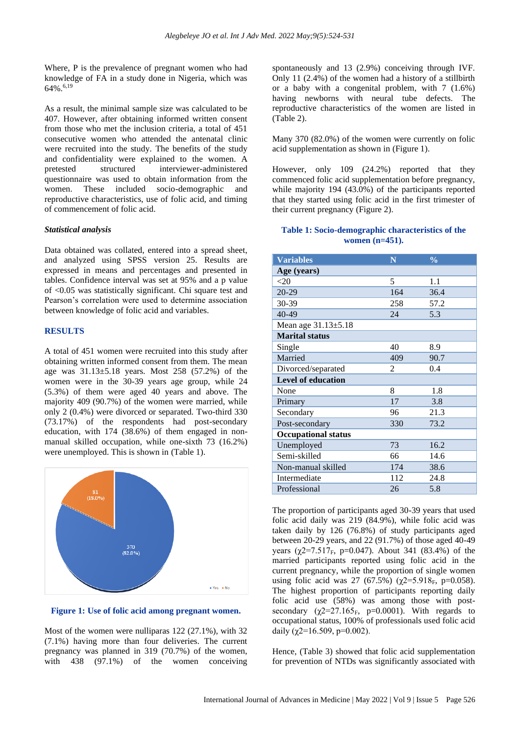Where, P is the prevalence of pregnant women who had knowledge of FA in a study done in Nigeria, which was 64%.6,19

As a result, the minimal sample size was calculated to be 407. However, after obtaining informed written consent from those who met the inclusion criteria, a total of 451 consecutive women who attended the antenatal clinic were recruited into the study. The benefits of the study and confidentiality were explained to the women. A pretested structured interviewer-administered questionnaire was used to obtain information from the women. These included socio-demographic and reproductive characteristics, use of folic acid, and timing of commencement of folic acid.

#### *Statistical analysis*

Data obtained was collated, entered into a spread sheet, and analyzed using SPSS version 25. Results are expressed in means and percentages and presented in tables. Confidence interval was set at 95% and a p value of <0.05 was statistically significant. Chi square test and Pearson's correlation were used to determine association between knowledge of folic acid and variables.

#### **RESULTS**

A total of 451 women were recruited into this study after obtaining written informed consent from them. The mean age was 31.13±5.18 years. Most 258 (57.2%) of the women were in the 30-39 years age group, while 24 (5.3%) of them were aged 40 years and above. The majority 409 (90.7%) of the women were married, while only 2 (0.4%) were divorced or separated. Two-third 330 (73.17%) of the respondents had post-secondary education, with 174 (38.6%) of them engaged in nonmanual skilled occupation, while one-sixth 73 (16.2%) were unemployed. This is shown in (Table 1).



#### **Figure 1: Use of folic acid among pregnant women.**

Most of the women were nulliparas 122 (27.1%), with 32 (7.1%) having more than four deliveries. The current pregnancy was planned in 319 (70.7%) of the women, with 438 (97.1%) of the women conceiving

spontaneously and 13 (2.9%) conceiving through IVF. Only 11 (2.4%) of the women had a history of a stillbirth or a baby with a congenital problem, with 7 (1.6%) having newborns with neural tube defects. The reproductive characteristics of the women are listed in (Table 2).

Many 370 (82.0%) of the women were currently on folic acid supplementation as shown in (Figure 1).

However, only 109 (24.2%) reported that they commenced folic acid supplementation before pregnancy, while majority 194 (43.0%) of the participants reported that they started using folic acid in the first trimester of their current pregnancy (Figure 2).

#### **Table 1: Socio-demographic characteristics of the women (n=451).**

| <b>Variables</b>           | N   | $\frac{0}{0}$ |  |  |  |
|----------------------------|-----|---------------|--|--|--|
| Age (years)                |     |               |  |  |  |
| <20                        | 5   | 1.1           |  |  |  |
| $20 - 29$                  | 164 | 36.4          |  |  |  |
| 30-39                      | 258 | 57.2          |  |  |  |
| 40-49                      | 24  | 5.3           |  |  |  |
| Mean age 31.13±5.18        |     |               |  |  |  |
| <b>Marital status</b>      |     |               |  |  |  |
| Single                     | 40  | 8.9           |  |  |  |
| Married                    | 409 | 90.7          |  |  |  |
| Divorced/separated         | 2   | 0.4           |  |  |  |
| <b>Level of education</b>  |     |               |  |  |  |
| None                       | 8   | 1.8           |  |  |  |
| Primary                    | 17  | 3.8           |  |  |  |
| Secondary                  | 96  | 21.3          |  |  |  |
| Post-secondary             | 330 | 73.2          |  |  |  |
| <b>Occupational status</b> |     |               |  |  |  |
| Unemployed                 | 73  | 16.2          |  |  |  |
| Semi-skilled               | 66  | 14.6          |  |  |  |
| Non-manual skilled         | 174 | 38.6          |  |  |  |
| Intermediate               | 112 | 24.8          |  |  |  |
| Professional               | 26  | 5.8           |  |  |  |

The proportion of participants aged 30-39 years that used folic acid daily was 219 (84.9%), while folic acid was taken daily by 126 (76.8%) of study participants aged between 20-29 years, and 22 (91.7%) of those aged 40-49 years ( $\chi$ 2=7.517<sub>F</sub>, p=0.047). About 341 (83.4%) of the married participants reported using folic acid in the current pregnancy, while the proportion of single women using folic acid was 27 (67.5%) ( $\gamma$ 2=5.918<sub>F</sub>, p=0.058). The highest proportion of participants reporting daily folic acid use (58%) was among those with postsecondary ( $\chi$ 2=27.165<sub>F</sub>, p=0.0001). With regards to occupational status, 100% of professionals used folic acid daily ( $\chi$ 2=16.509, p=0.002).

Hence, (Table 3) showed that folic acid supplementation for prevention of NTDs was significantly associated with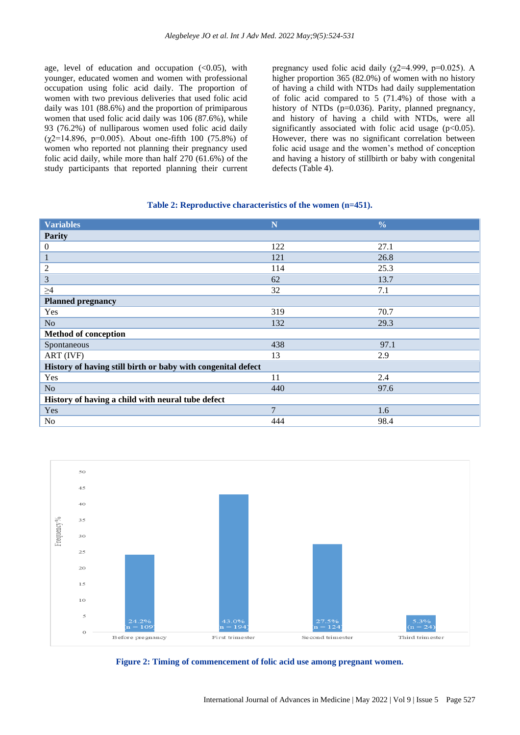age, level of education and occupation  $\langle 0.05 \rangle$ , with younger, educated women and women with professional occupation using folic acid daily. The proportion of women with two previous deliveries that used folic acid daily was 101 (88.6%) and the proportion of primiparous women that used folic acid daily was 106 (87.6%), while 93 (76.2%) of nulliparous women used folic acid daily  $(\chi2=14.896, p=0.005)$ . About one-fifth 100 (75.8%) of women who reported not planning their pregnancy used folic acid daily, while more than half 270 (61.6%) of the study participants that reported planning their current pregnancy used folic acid daily ( $\chi$ 2=4.999, p=0.025). A higher proportion 365 (82.0%) of women with no history of having a child with NTDs had daily supplementation of folic acid compared to 5 (71.4%) of those with a history of NTDs (p=0.036). Parity, planned pregnancy, and history of having a child with NTDs, were all significantly associated with folic acid usage  $(p<0.05)$ . However, there was no significant correlation between folic acid usage and the women's method of conception and having a history of stillbirth or baby with congenital defects (Table 4).

#### **Table 2: Reproductive characteristics of the women (n=451).**

| <b>Variables</b>                                             | N              | $\frac{0}{0}$ |  |  |
|--------------------------------------------------------------|----------------|---------------|--|--|
| <b>Parity</b>                                                |                |               |  |  |
| $\boldsymbol{0}$                                             | 122            | 27.1          |  |  |
| $\mathbf{1}$                                                 | 121            | 26.8          |  |  |
| $\overline{2}$                                               | 114            | 25.3          |  |  |
| 3                                                            | 62             | 13.7          |  |  |
| $\geq$ 4                                                     | 32             | 7.1           |  |  |
| <b>Planned pregnancy</b>                                     |                |               |  |  |
| Yes                                                          | 319            | 70.7          |  |  |
| N <sub>o</sub>                                               | 132            | 29.3          |  |  |
| <b>Method of conception</b>                                  |                |               |  |  |
| Spontaneous                                                  | 438            | 97.1          |  |  |
| ART (IVF)                                                    | 13             | 2.9           |  |  |
| History of having still birth or baby with congenital defect |                |               |  |  |
| Yes                                                          | 11             | 2.4           |  |  |
| N <sub>o</sub>                                               | 440            | 97.6          |  |  |
| History of having a child with neural tube defect            |                |               |  |  |
| Yes                                                          | $\overline{7}$ | 1.6           |  |  |
| N <sub>o</sub>                                               | 444            | 98.4          |  |  |



**Figure 2: Timing of commencement of folic acid use among pregnant women.**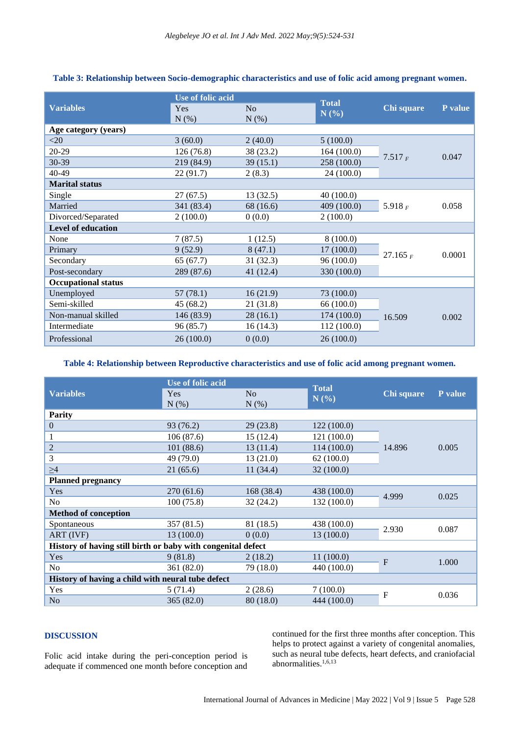|                            | <b>Use of folic acid</b> |                | <b>Total</b> |            |         |
|----------------------------|--------------------------|----------------|--------------|------------|---------|
| <b>Variables</b>           | Yes                      | N <sub>o</sub> | N(%)         | Chi square | P value |
|                            | $N(\%)$                  | $N(\%)$        |              |            |         |
| Age category (years)       |                          |                |              |            |         |
| $<$ 20                     | 3(60.0)                  | 2(40.0)        | 5(100.0)     |            | 0.047   |
| $20-29$                    | 126(76.8)                | 38 (23.2)      | 164(100.0)   | 7.517 F    |         |
| $30 - 39$                  | 219 (84.9)               | 39(15.1)       | 258 (100.0)  |            |         |
| 40-49                      | 22(91.7)                 | 2(8.3)         | 24 (100.0)   |            |         |
| <b>Marital status</b>      |                          |                |              |            |         |
| Single                     | 27(67.5)                 | 13(32.5)       | 40(100.0)    |            | 0.058   |
| Married                    | 341 (83.4)               | 68 (16.6)      | 409 (100.0)  | 5.918 $_F$ |         |
| Divorced/Separated         | 2(100.0)                 | 0(0.0)         | 2(100.0)     |            |         |
| <b>Level of education</b>  |                          |                |              |            |         |
| None                       | 7(87.5)                  | 1(12.5)        | 8(100.0)     |            | 0.0001  |
| Primary                    | 9(52.9)                  | 8(47.1)        | 17(100.0)    | 27.165 $F$ |         |
| Secondary                  | 65(67.7)                 | 31(32.3)       | 96(100.0)    |            |         |
| Post-secondary             | 289 (87.6)               | 41 (12.4)      | 330 (100.0)  |            |         |
| <b>Occupational status</b> |                          |                |              |            |         |
| Unemployed                 | 57(78.1)                 | 16(21.9)       | 73 (100.0)   | 16.509     | 0.002   |
| Semi-skilled               | 45 (68.2)                | 21 (31.8)      | 66 (100.0)   |            |         |
| Non-manual skilled         | 146 (83.9)               | 28(16.1)       | 174(100.0)   |            |         |
| Intermediate               | 96 (85.7)                | 16(14.3)       | 112 (100.0)  |            |         |
| Professional               | 26(100.0)                | 0(0.0)         | 26(100.0)    |            |         |

# **Table 3: Relationship between Socio-demographic characteristics and use of folic acid among pregnant women.**

# **Table 4: Relationship between Reproductive characteristics and use of folic acid among pregnant women.**

|                                                              | Use of folic acid  |                | <b>Total</b> |            |         |  |
|--------------------------------------------------------------|--------------------|----------------|--------------|------------|---------|--|
| <b>Variables</b>                                             | <b>Yes</b>         | N <sub>o</sub> | N(%)         | Chi square | P value |  |
|                                                              | $N(\%)$<br>$N(\%)$ |                |              |            |         |  |
| <b>Parity</b>                                                |                    |                |              |            |         |  |
| $\boldsymbol{0}$                                             | 93 (76.2)          | 29(23.8)       | 122(100.0)   |            | 0.005   |  |
| 1                                                            | 106(87.6)          | 15(12.4)       | 121 (100.0)  |            |         |  |
| $\sqrt{2}$                                                   | 101(88.6)          | 13(11.4)       | 114(100.0)   | 14.896     |         |  |
| 3                                                            | 49 (79.0)          | 13(21.0)       | 62(100.0)    |            |         |  |
| $\geq 4$                                                     | 21(65.6)           | 11(34.4)       | 32(100.0)    |            |         |  |
| <b>Planned pregnancy</b>                                     |                    |                |              |            |         |  |
| Yes                                                          | 270(61.6)          | 168 (38.4)     | 438 (100.0)  |            | 0.025   |  |
| No                                                           | 100(75.8)          | 32(24.2)       | 132 (100.0)  | 4.999      |         |  |
| <b>Method of conception</b>                                  |                    |                |              |            |         |  |
| Spontaneous                                                  | 357 (81.5)         | 81 (18.5)      | 438 (100.0)  | 2.930      | 0.087   |  |
| ART (IVF)                                                    | 13(100.0)          | 0(0.0)         | 13(100.0)    |            |         |  |
| History of having still birth or baby with congenital defect |                    |                |              |            |         |  |
| Yes                                                          | 9(81.8)            | 2(18.2)        | 11(100.0)    | F          | 1.000   |  |
| No                                                           | 361 (82.0)         | 79 (18.0)      | 440 (100.0)  |            |         |  |
| History of having a child with neural tube defect            |                    |                |              |            |         |  |
| Yes                                                          | 5(71.4)            | 2(28.6)        | 7(100.0)     | F          | 0.036   |  |
| N <sub>o</sub>                                               | 365(82.0)          | 80 (18.0)      | 444 (100.0)  |            |         |  |

# **DISCUSSION**

Folic acid intake during the peri-conception period is adequate if commenced one month before conception and continued for the first three months after conception. This helps to protect against a variety of congenital anomalies, such as neural tube defects, heart defects, and craniofacial abnormalities.<sup>1,6,13</sup>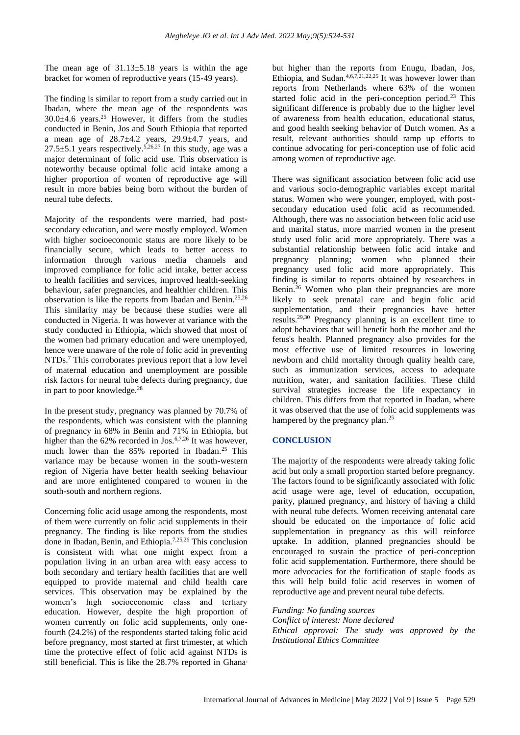The mean age of  $31.13 \pm 5.18$  years is within the age bracket for women of reproductive years (15-49 years).

The finding is similar to report from a study carried out in Ibadan, where the mean age of the respondents was  $30.0\pm4.6$  years.<sup>25</sup> However, it differs from the studies conducted in Benin, Jos and South Ethiopia that reported a mean age of  $28.7 \pm 4.2$  years,  $29.9 \pm 4.7$  years, and 27.5 $\pm$ 5.1 years respectively.<sup>5,26,27</sup> In this study, age was a major determinant of folic acid use. This observation is noteworthy because optimal folic acid intake among a higher proportion of women of reproductive age will result in more babies being born without the burden of neural tube defects.

Majority of the respondents were married, had postsecondary education, and were mostly employed. Women with higher socioeconomic status are more likely to be financially secure, which leads to better access to information through various media channels and improved compliance for folic acid intake, better access to health facilities and services, improved health-seeking behaviour, safer pregnancies, and healthier children. This observation is like the reports from Ibadan and Benin.25,26 This similarity may be because these studies were all conducted in Nigeria. It was however at variance with the study conducted in Ethiopia, which showed that most of the women had primary education and were unemployed, hence were unaware of the role of folic acid in preventing NTDs.<sup>7</sup> This corroborates previous report that a low level of maternal education and unemployment are possible risk factors for neural tube defects during pregnancy, due in part to poor knowledge.<sup>28</sup>

In the present study, pregnancy was planned by 70.7% of the respondents, which was consistent with the planning of pregnancy in 68% in Benin and 71% in Ethiopia, but higher than the  $62\%$  recorded in Jos.<sup>6,7,26</sup> It was however, much lower than the 85% reported in Ibadan.<sup>25</sup> This variance may be because women in the south-western region of Nigeria have better health seeking behaviour and are more enlightened compared to women in the south-south and northern regions.

Concerning folic acid usage among the respondents, most of them were currently on folic acid supplements in their pregnancy. The finding is like reports from the studies done in Ibadan, Benin, and Ethiopia.7,25,26 This conclusion is consistent with what one might expect from a population living in an urban area with easy access to both secondary and tertiary health facilities that are well equipped to provide maternal and child health care services. This observation may be explained by the women's high socioeconomic class and tertiary education. However, despite the high proportion of women currently on folic acid supplements, only onefourth (24.2%) of the respondents started taking folic acid before pregnancy, most started at first trimester, at which time the protective effect of folic acid against NTDs is still beneficial. This is like the 28.7% reported in Ghana, but higher than the reports from Enugu, Ibadan, Jos, Ethiopia, and Sudan.<sup>4,6,7,21,22,25</sup> It was however lower than reports from Netherlands where 63% of the women started folic acid in the peri-conception period.<sup>23</sup> This significant difference is probably due to the higher level of awareness from health education, educational status, and good health seeking behavior of Dutch women. As a result, relevant authorities should ramp up efforts to continue advocating for peri-conception use of folic acid among women of reproductive age.

There was significant association between folic acid use and various socio-demographic variables except marital status. Women who were younger, employed, with postsecondary education used folic acid as recommended. Although, there was no association between folic acid use and marital status, more married women in the present study used folic acid more appropriately. There was a substantial relationship between folic acid intake and pregnancy planning; women who planned their pregnancy used folic acid more appropriately. This finding is similar to reports obtained by researchers in Benin.<sup>26</sup> Women who plan their pregnancies are more likely to seek prenatal care and begin folic acid supplementation, and their pregnancies have better results.29,30 Pregnancy planning is an excellent time to adopt behaviors that will benefit both the mother and the fetus's health. Planned pregnancy also provides for the most effective use of limited resources in lowering newborn and child mortality through quality health care, such as immunization services, access to adequate nutrition, water, and sanitation facilities. These child survival strategies increase the life expectancy in children. This differs from that reported in Ibadan, where it was observed that the use of folic acid supplements was hampered by the pregnancy plan.<sup>25</sup>

#### **CONCLUSION**

The majority of the respondents were already taking folic acid but only a small proportion started before pregnancy. The factors found to be significantly associated with folic acid usage were age, level of education, occupation, parity, planned pregnancy, and history of having a child with neural tube defects. Women receiving antenatal care should be educated on the importance of folic acid supplementation in pregnancy as this will reinforce uptake. In addition, planned pregnancies should be encouraged to sustain the practice of peri-conception folic acid supplementation. Furthermore, there should be more advocacies for the fortification of staple foods as this will help build folic acid reserves in women of reproductive age and prevent neural tube defects.

#### *Funding: No funding sources*

*Conflict of interest: None declared Ethical approval: The study was approved by the Institutional Ethics Committee*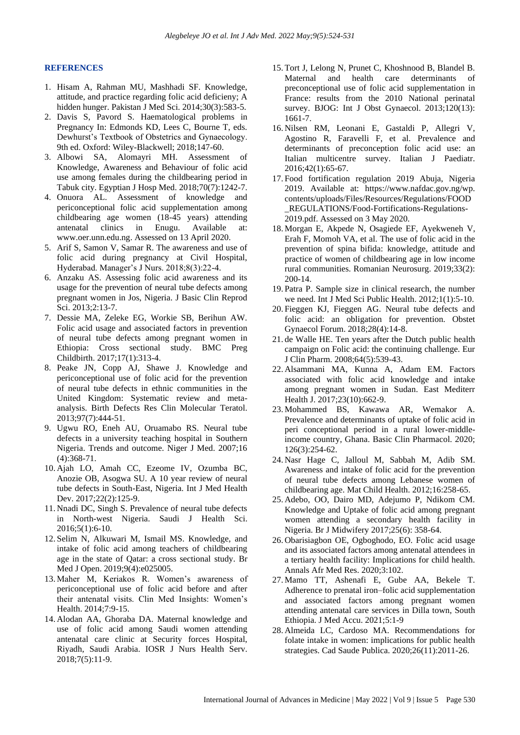#### **REFERENCES**

- 1. Hisam A, Rahman MU, Mashhadi SF. Knowledge, attitude, and practice regarding folic acid deficieny; A hidden hunger. Pakistan J Med Sci. 2014;30(3):583-5.
- 2. Davis S, Pavord S. Haematological problems in Pregnancy In: Edmonds KD, Lees C, Bourne T, eds. Dewhurst's Textbook of Obstetrics and Gynaecology. 9th ed. Oxford: Wiley-Blackwell; 2018;147-60.
- 3. Albowi SA, Alomayri MH. Assessment of Knowledge, Awareness and Behaviour of folic acid use among females during the childbearing period in Tabuk city. Egyptian J Hosp Med. 2018;70(7):1242-7.
- 4. Onuora AL. Assessment of knowledge and periconceptional folic acid supplementation among childbearing age women (18-45 years) attending antenatal clinics in Enugu. Available at: [www.oer.unn.edu.ng.](http://www.oer.unn.edu.ng/) Assessed on 13 April 2020.
- 5. Arif S, Samon V, Samar R. The awareness and use of folic acid during pregnancy at Civil Hospital, Hyderabad. Manager's J Nurs. 2018;8(3):22-4.
- 6. Anzaku AS. Assessing folic acid awareness and its usage for the prevention of neural tube defects among pregnant women in Jos, Nigeria. J Basic Clin Reprod Sci. 2013;2:13-7.
- 7. Dessie MA, Zeleke EG, Workie SB, Berihun AW. Folic acid usage and associated factors in prevention of neural tube defects among pregnant women in Ethiopia: Cross sectional study. BMC Preg Childbirth. 2017;17(1):313-4.
- 8. Peake JN, Copp AJ, Shawe J. Knowledge and periconceptional use of folic acid for the prevention of neural tube defects in ethnic communities in the United Kingdom: Systematic review and metaanalysis. Birth Defects Res Clin Molecular Teratol. 2013;97(7):444-51.
- 9. Ugwu RO, Eneh AU, Oruamabo RS. Neural tube defects in a university teaching hospital in Southern Nigeria. Trends and outcome. Niger J Med. 2007;16 (4):368-71.
- 10. Ajah LO, Amah CC, Ezeome IV, Ozumba BC, Anozie OB, Asogwa SU. A 10 year review of neural tube defects in South-East, Nigeria. Int J Med Health Dev. 2017;22(2):125-9.
- 11. Nnadi DC, Singh S. Prevalence of neural tube defects in North-west Nigeria. Saudi J Health Sci. 2016;5(1):6-10.
- 12. Selim N, Alkuwari M, Ismail MS. Knowledge, and intake of folic acid among teachers of childbearing age in the state of Qatar: a cross sectional study. Br Med J Open. 2019;9(4):e025005.
- 13. Maher M, Keriakos R. Women's awareness of periconceptional use of folic acid before and after their antenatal visits. Clin Med Insights: Women's Health. 2014;7:9-15.
- 14. Alodan AA, Ghoraba DA. Maternal knowledge and use of folic acid among Saudi women attending antenatal care clinic at Security forces Hospital, Riyadh, Saudi Arabia. IOSR J Nurs Health Serv. 2018;7(5):11-9.
- 15. Tort J, Lelong N, Prunet C, Khoshnood B, Blandel B. Maternal and health care determinants of preconceptional use of folic acid supplementation in France: results from the 2010 National perinatal survey. BJOG: Int J Obst Gynaecol. 2013;120(13): 1661-7.
- 16. Nilsen RM, Leonani E, Gastaldi P, Allegri V, Agostino R, Faravelli F, et al. Prevalence and determinants of preconception folic acid use: an Italian multicentre survey. Italian J Paediatr. 2016;42(1):65-67.
- 17. Food fortification regulation 2019 Abuja, Nigeria 2019. Available at: [https://www.nafdac.gov.ng/wp.](https://www.nafdac.gov.ng/wp.%20contents/uploads/Files/Resources/Regulations/FOOD_REGULATIONS/Food-Fortifications-Regulations-2019.pdf)  [contents/uploads/Files/Resources/Regulations/FOOD](https://www.nafdac.gov.ng/wp.%20contents/uploads/Files/Resources/Regulations/FOOD_REGULATIONS/Food-Fortifications-Regulations-2019.pdf) [\\_REGULATIONS/Food-Fortifications-Regulations-](https://www.nafdac.gov.ng/wp.%20contents/uploads/Files/Resources/Regulations/FOOD_REGULATIONS/Food-Fortifications-Regulations-2019.pdf)[2019.pdf.](https://www.nafdac.gov.ng/wp.%20contents/uploads/Files/Resources/Regulations/FOOD_REGULATIONS/Food-Fortifications-Regulations-2019.pdf) Assessed on 3 May 2020.
- 18. Morgan E, Akpede N, Osagiede EF, Ayekweneh V, Erah F, Momoh VA, et al. The use of folic acid in the prevention of spina bifida: knowledge, attitude and practice of women of childbearing age in low income rural communities. Romanian Neurosurg. 2019;33(2): 200-14.
- 19. Patra P. Sample size in clinical research, the number we need. Int J Med Sci Public Health. 2012;1(1):5-10.
- 20. Fieggen KJ, Fieggen AG. Neural tube defects and folic acid: an obligation for prevention. Obstet Gynaecol Forum. 2018;28(4):14-8.
- 21. de Walle HE. Ten years after the Dutch public health campaign on Folic acid: the continuing challenge. Eur J Clin Pharm. 2008;64(5):539-43.
- 22. Alsammani MA, Kunna A, Adam EM. Factors associated with folic acid knowledge and intake among pregnant women in Sudan. East Mediterr Health J. 2017;23(10):662-9.
- 23. Mohammed BS, Kawawa AR, Wemakor A. Prevalence and determinants of uptake of folic acid in peri conceptional period in a rural lower-middleincome country, Ghana. Basic Clin Pharmacol. 2020; 126(3):254-62.
- 24. Nasr Hage C, Jalloul M, Sabbah M, Adib SM. Awareness and intake of folic acid for the prevention of neural tube defects among Lebanese women of childbearing age. Mat Child Health. 2012;16:258-65.
- 25. Adebo, OO, Dairo MD, Adejumo P, Ndikom CM. Knowledge and Uptake of folic acid among pregnant women attending a secondary health facility in Nigeria. Br J Midwifery 2017;25(6): 358-64.
- 26. Obarisiagbon OE, Ogboghodo, EO. Folic acid usage and its associated factors among antenatal attendees in a tertiary health facility: Implications for child health. Annals Afr Med Res. 2020;3:102.
- 27. Mamo TT, Ashenafi E, Gube AA, Bekele T. Adherence to prenatal iron–folic acid supplementation and associated factors among pregnant women attending antenatal care services in Dilla town, South Ethiopia. J Med Accu. 2021;5:1-9
- 28. Almeida LC, Cardoso MA. Recommendations for folate intake in women: implications for public health strategies. Cad Saude Publica. 2020;26(11):2011-26.